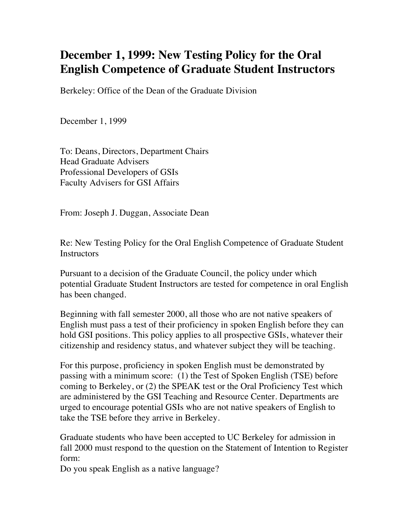## **December 1, 1999: New Testing Policy for the Oral English Competence of Graduate Student Instructors**

Berkeley: Office of the Dean of the Graduate Division

December 1, 1999

To: Deans, Directors, Department Chairs Head Graduate Advisers Professional Developers of GSIs Faculty Advisers for GSI Affairs

From: Joseph J. Duggan, Associate Dean

Re: New Testing Policy for the Oral English Competence of Graduate Student **Instructors** 

Pursuant to a decision of the Graduate Council, the policy under which potential Graduate Student Instructors are tested for competence in oral English has been changed.

Beginning with fall semester 2000, all those who are not native speakers of English must pass a test of their proficiency in spoken English before they can hold GSI positions. This policy applies to all prospective GSIs, whatever their citizenship and residency status, and whatever subject they will be teaching.

For this purpose, proficiency in spoken English must be demonstrated by passing with a minimum score: (1) the Test of Spoken English (TSE) before coming to Berkeley, or (2) the SPEAK test or the Oral Proficiency Test which are administered by the GSI Teaching and Resource Center. Departments are urged to encourage potential GSIs who are not native speakers of English to take the TSE before they arrive in Berkeley.

Graduate students who have been accepted to UC Berkeley for admission in fall 2000 must respond to the question on the Statement of Intention to Register form:

Do you speak English as a native language?